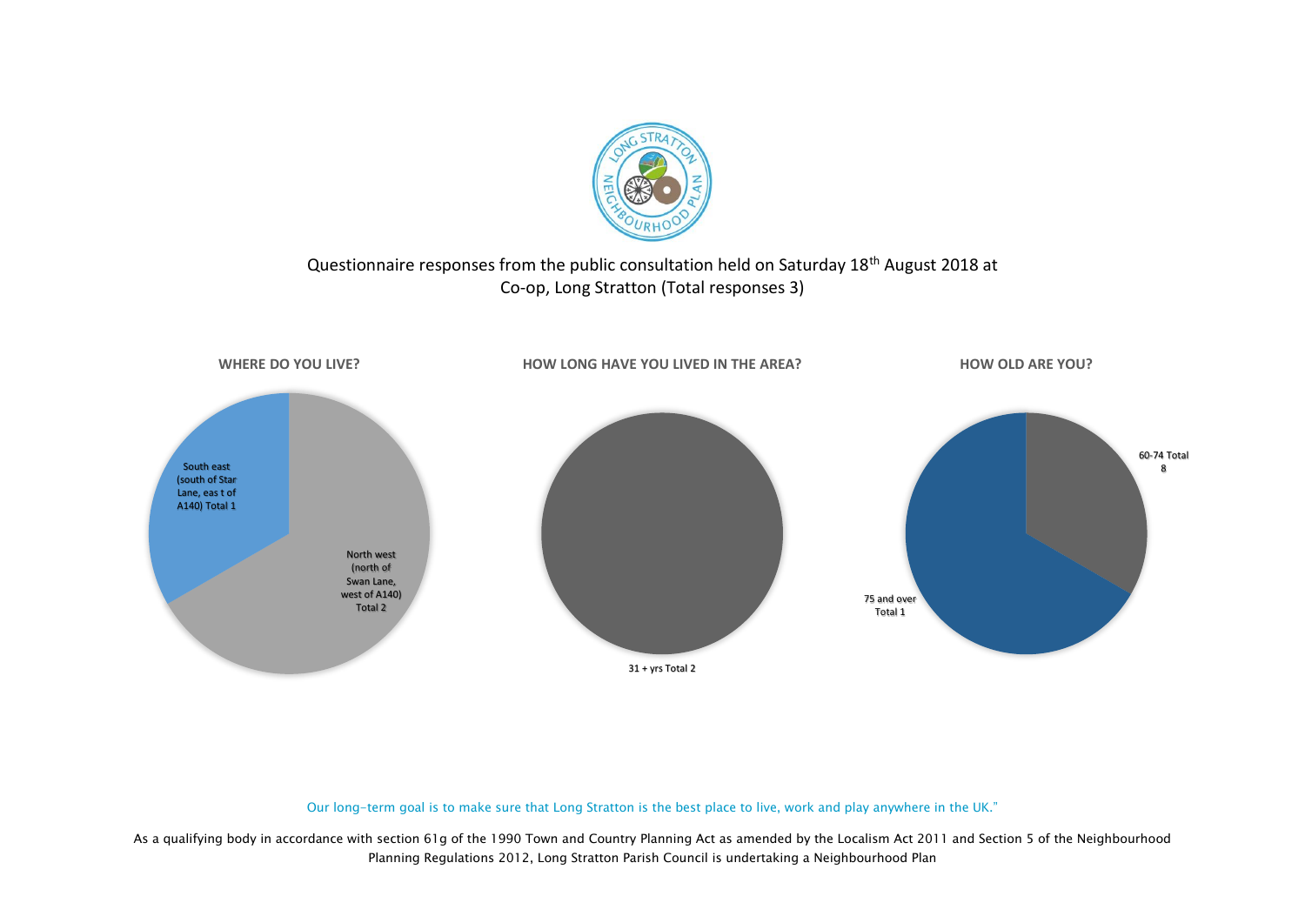

### Questionnaire responses from the public consultation held on Saturday 18<sup>th</sup> August 2018 at Co-op, Long Stratton (Total responses 3)



#### Our long-term goal is to make sure that Long Stratton is the best place to live, work and play anywhere in the UK."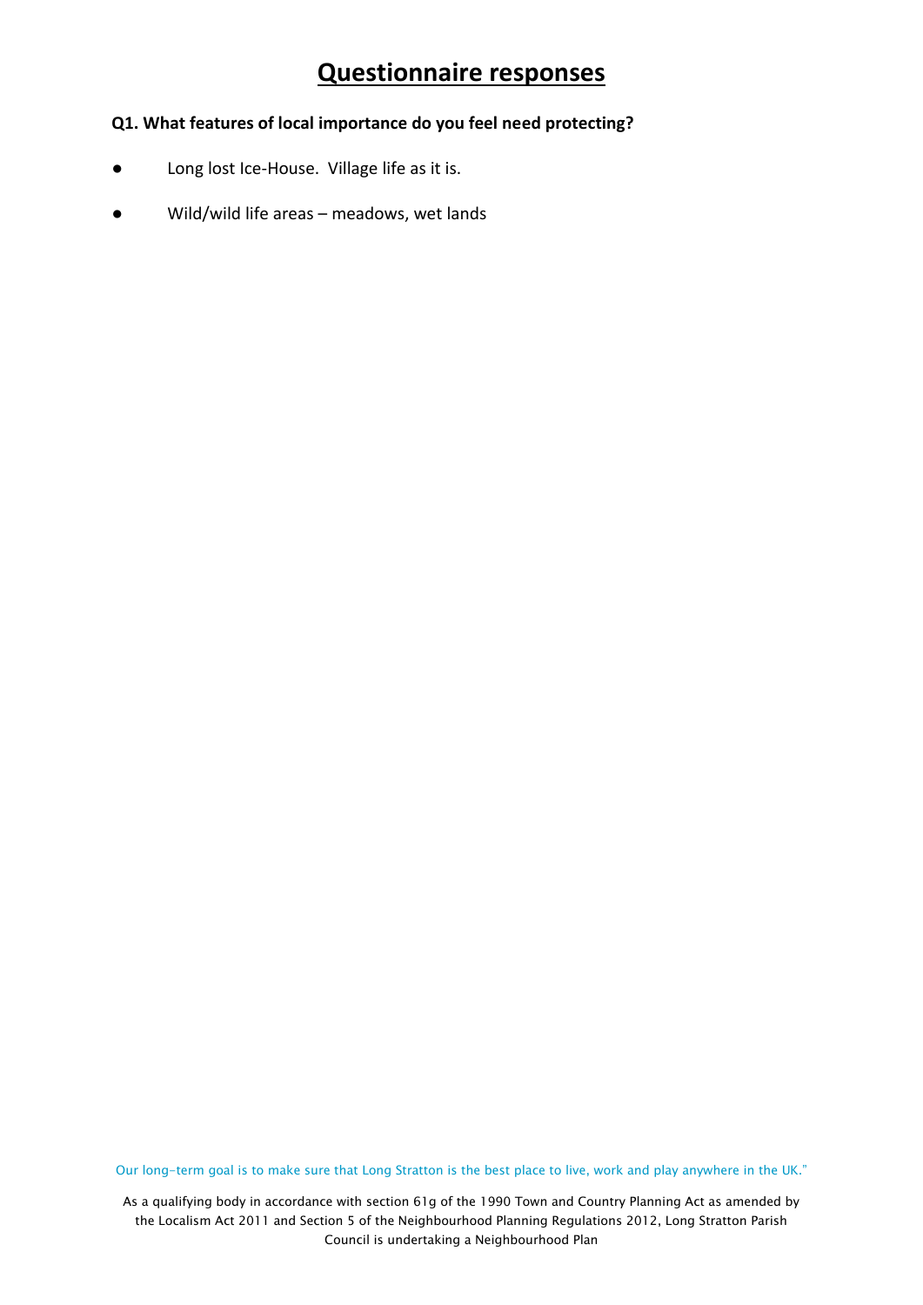#### **Q1. What features of local importance do you feel need protecting?**

- Long lost Ice-House. Village life as it is.
- Wild/wild life areas meadows, wet lands

Our long-term goal is to make sure that Long Stratton is the best place to live, work and play anywhere in the UK."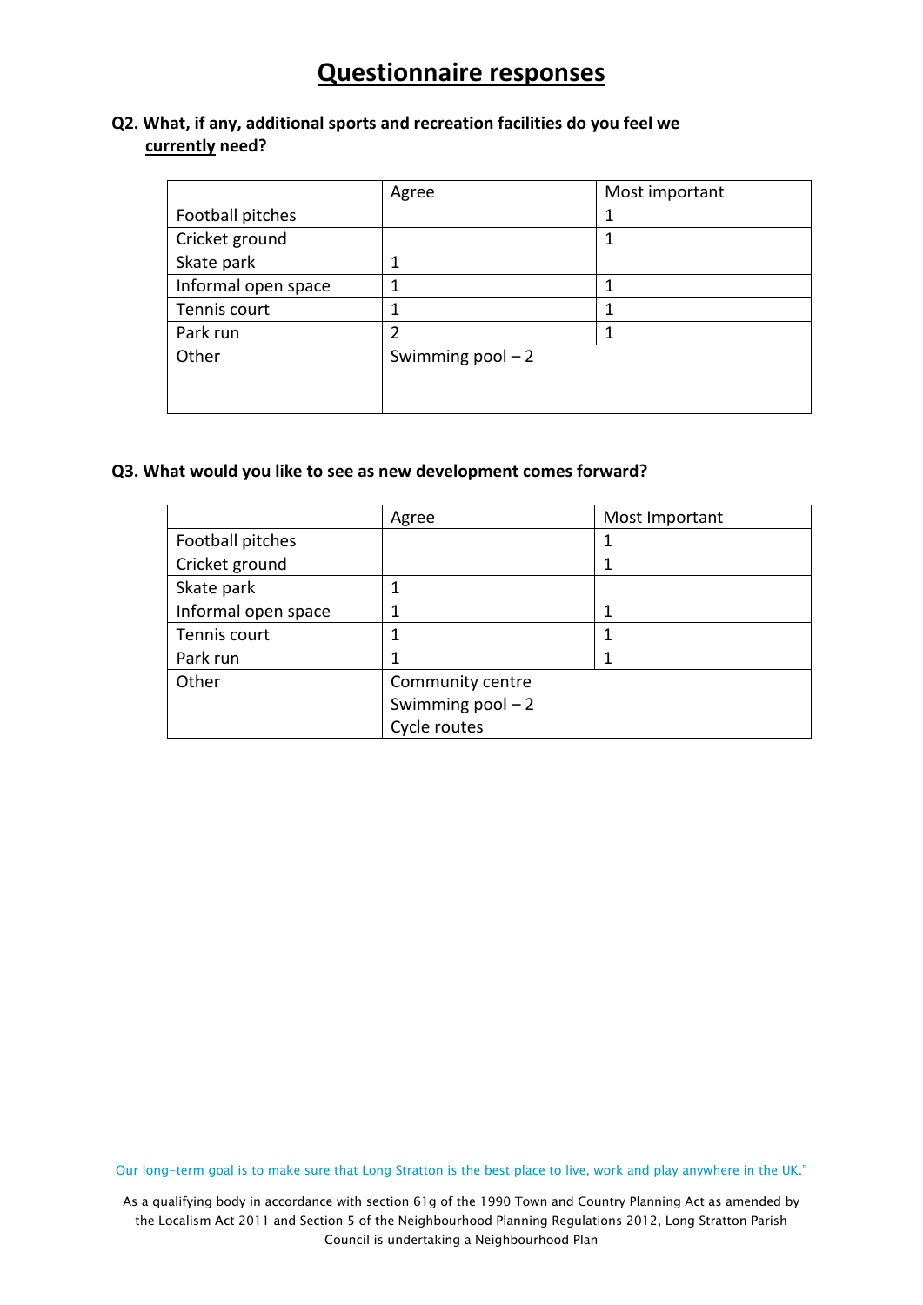#### **Q2. What, if any, additional sports and recreation facilities do you feel we currently need?**

|                     | Agree               | Most important |
|---------------------|---------------------|----------------|
| Football pitches    |                     |                |
| Cricket ground      |                     |                |
| Skate park          | 1                   |                |
| Informal open space | 1                   |                |
| Tennis court        |                     |                |
| Park run            | 2                   |                |
| Other               | Swimming $pool - 2$ |                |
|                     |                     |                |
|                     |                     |                |

#### **Q3. What would you like to see as new development comes forward?**

|                     | Agree               | Most Important |  |
|---------------------|---------------------|----------------|--|
| Football pitches    |                     |                |  |
| Cricket ground      |                     |                |  |
| Skate park          | 1                   |                |  |
| Informal open space | 1                   |                |  |
| Tennis court        | 1                   |                |  |
| Park run            |                     |                |  |
| Other               | Community centre    |                |  |
|                     | Swimming $pool - 2$ |                |  |
|                     | Cycle routes        |                |  |

Our long-term goal is to make sure that Long Stratton is the best place to live, work and play anywhere in the UK."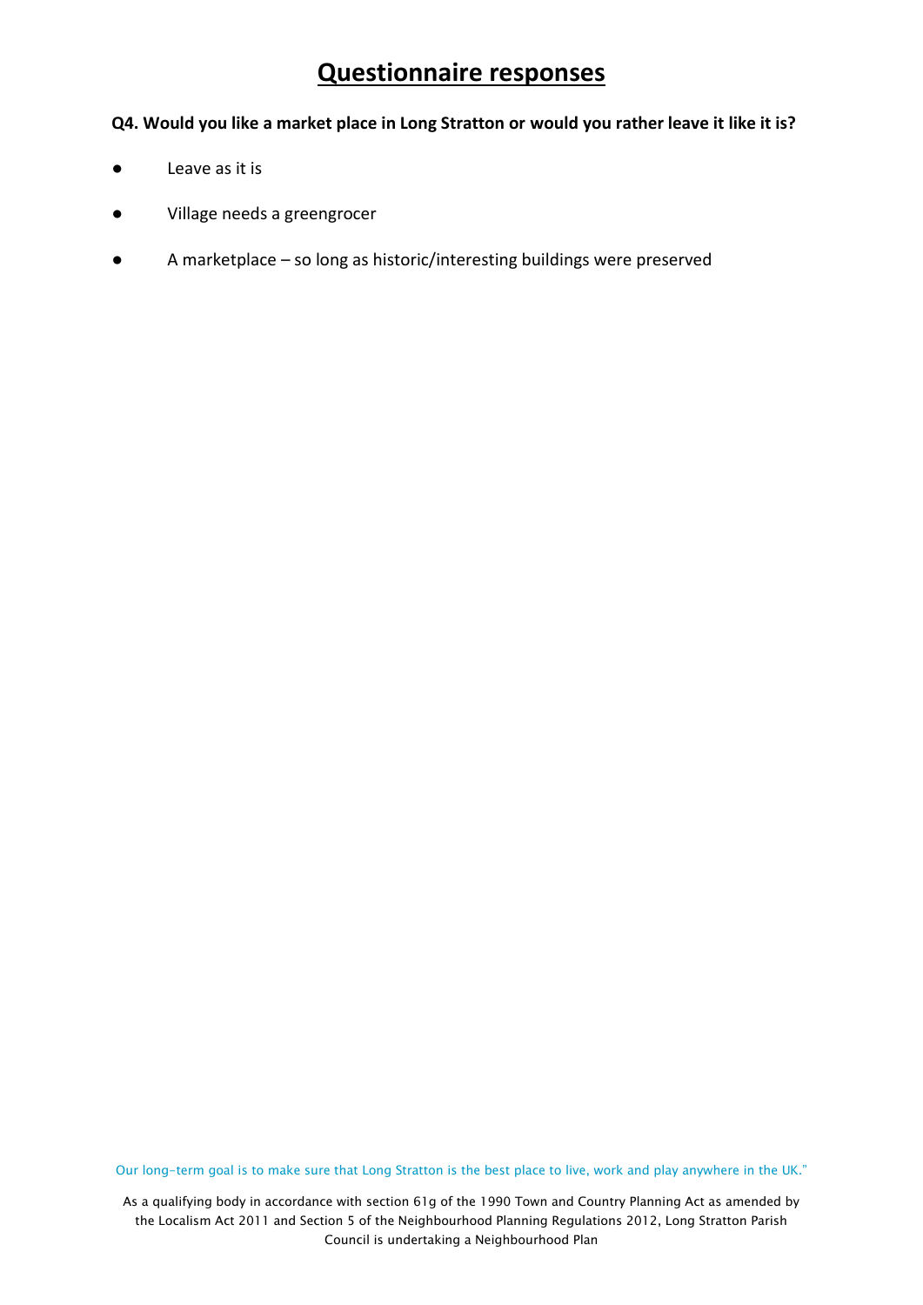#### **Q4. Would you like a market place in Long Stratton or would you rather leave it like it is?**

- **●** Leave as it is
- Village needs a greengrocer
- A marketplace so long as historic/interesting buildings were preserved

Our long-term goal is to make sure that Long Stratton is the best place to live, work and play anywhere in the UK."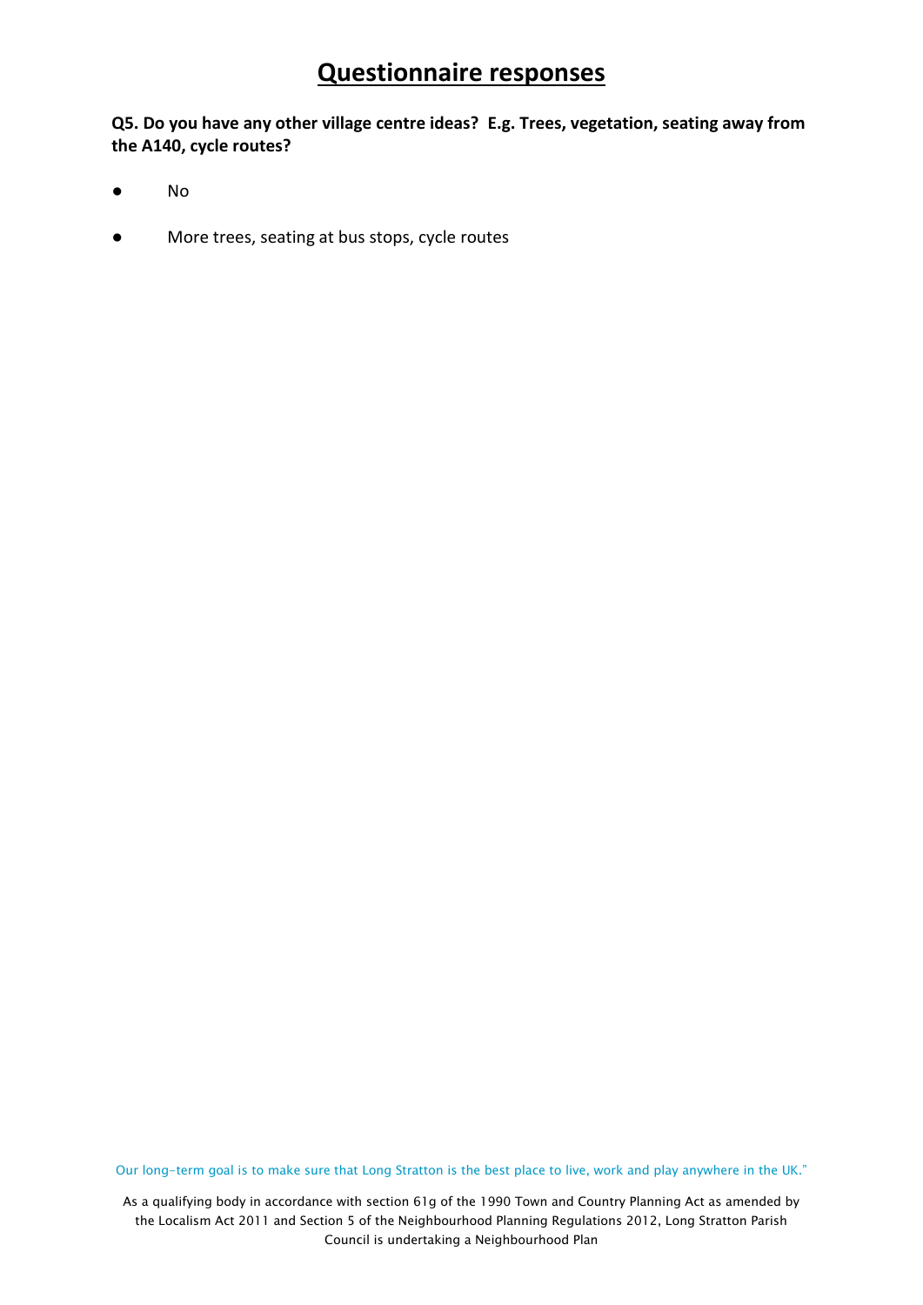**Q5. Do you have any other village centre ideas? E.g. Trees, vegetation, seating away from the A140, cycle routes?**

- No
- More trees, seating at bus stops, cycle routes

Our long-term goal is to make sure that Long Stratton is the best place to live, work and play anywhere in the UK."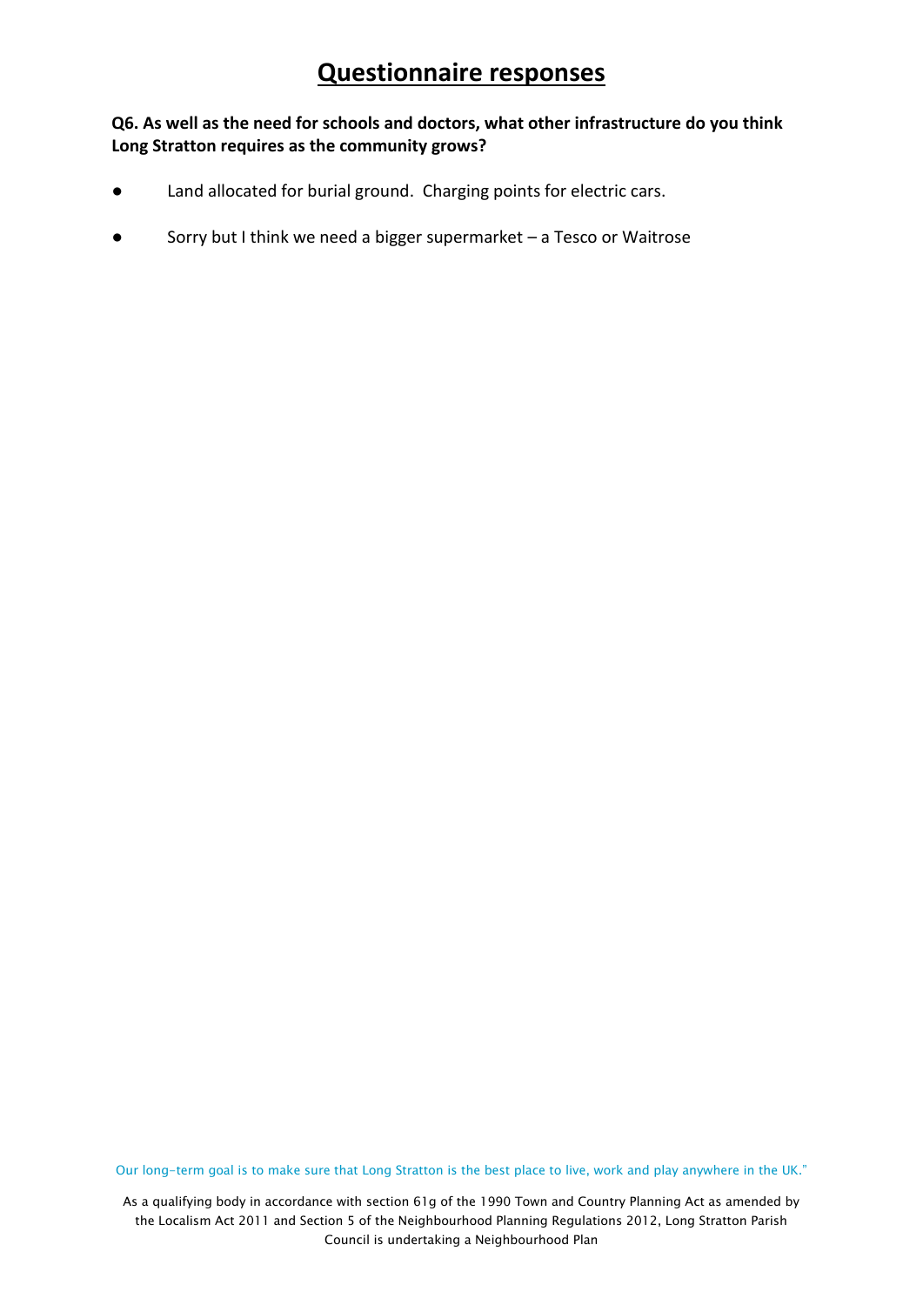#### **Q6. As well as the need for schools and doctors, what other infrastructure do you think Long Stratton requires as the community grows?**

- Land allocated for burial ground. Charging points for electric cars.
- Sorry but I think we need a bigger supermarket  $-$  a Tesco or Waitrose

Our long-term goal is to make sure that Long Stratton is the best place to live, work and play anywhere in the UK."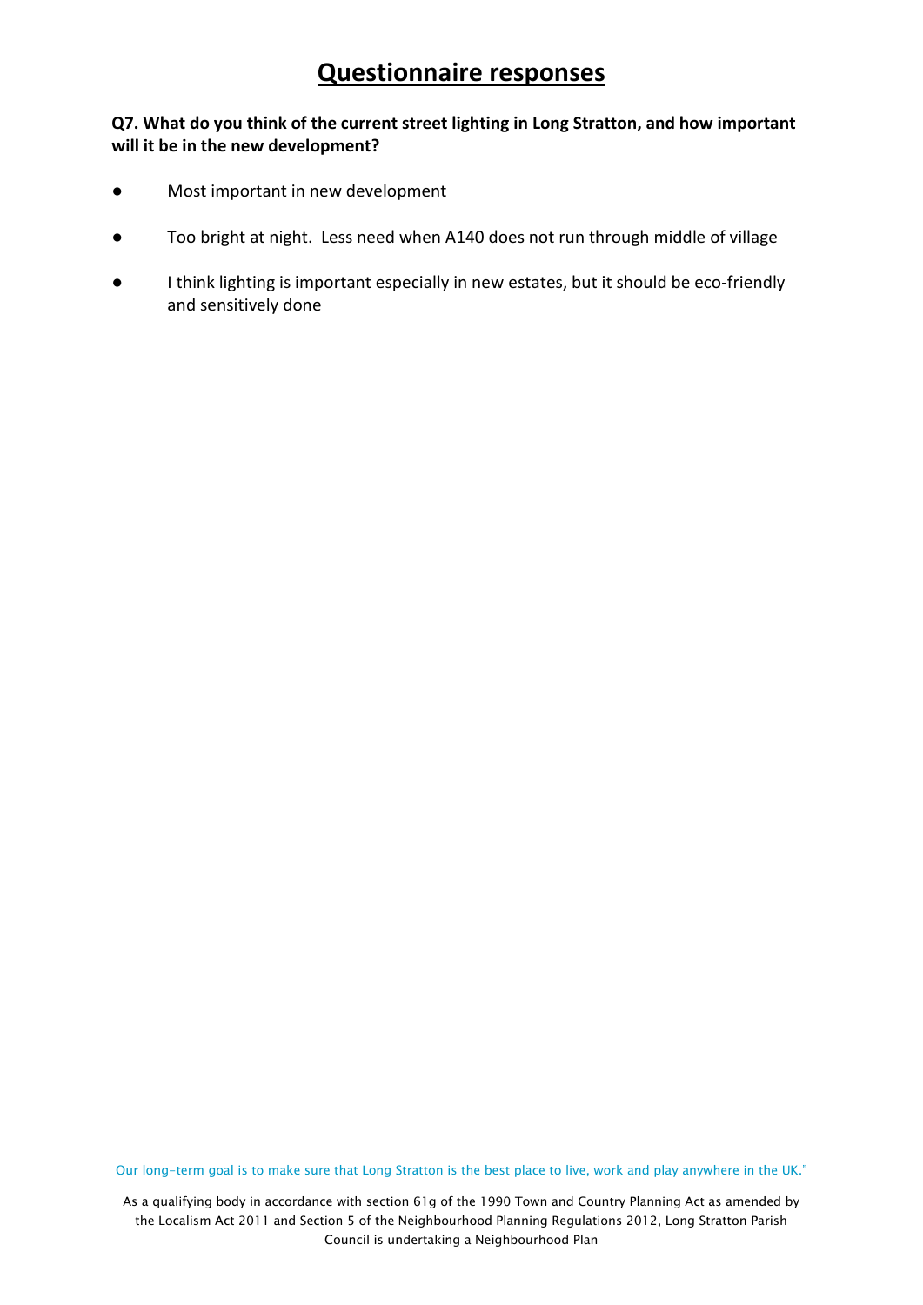#### **Q7. What do you think of the current street lighting in Long Stratton, and how important will it be in the new development?**

- Most important in new development
- Too bright at night. Less need when A140 does not run through middle of village
- I think lighting is important especially in new estates, but it should be eco-friendly and sensitively done

Our long-term goal is to make sure that Long Stratton is the best place to live, work and play anywhere in the UK."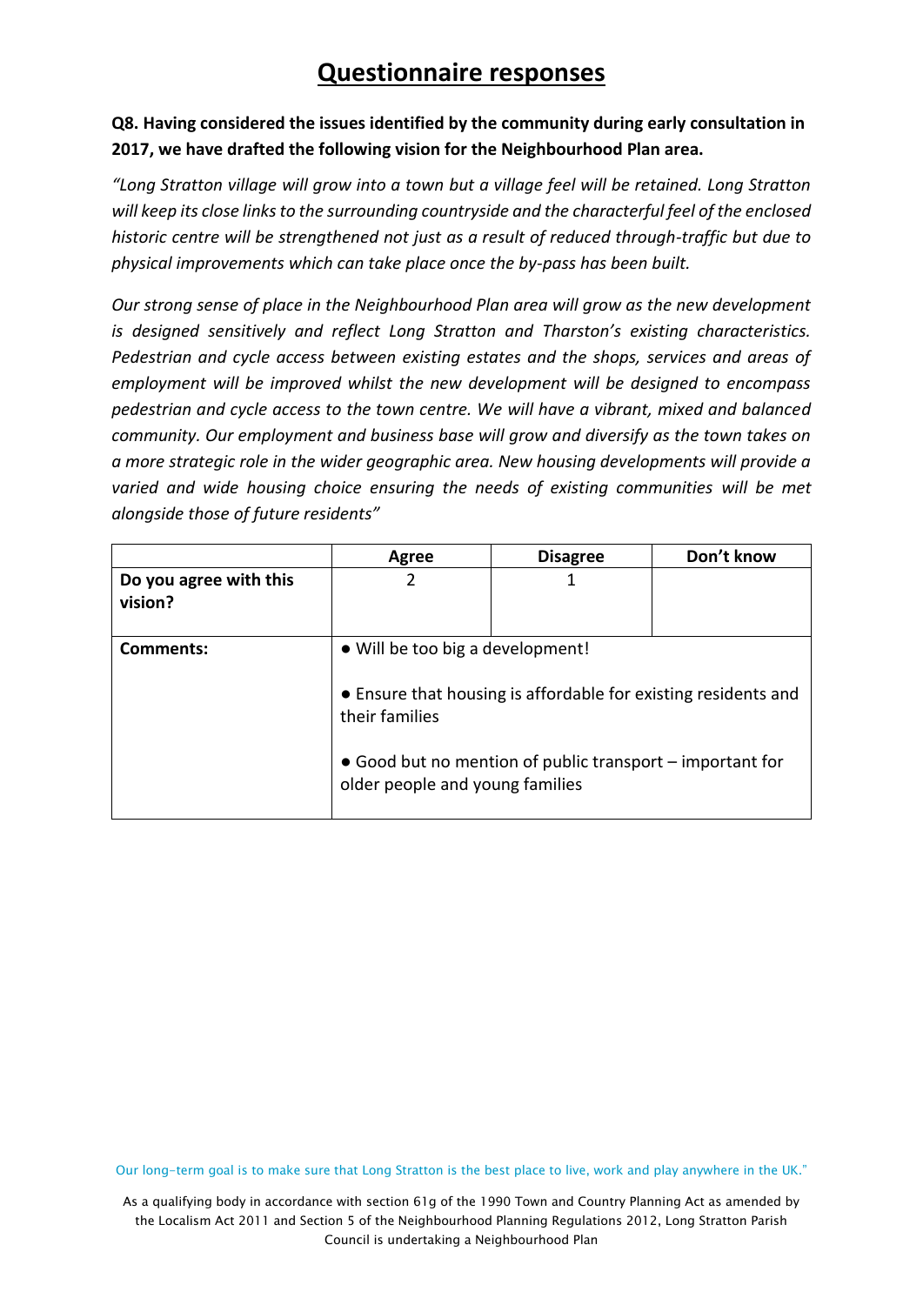### **Q8. Having considered the issues identified by the community during early consultation in 2017, we have drafted the following vision for the Neighbourhood Plan area.**

*"Long Stratton village will grow into a town but a village feel will be retained. Long Stratton will keep its close links to the surrounding countryside and the characterful feel of the enclosed historic centre will be strengthened not just as a result of reduced through-traffic but due to physical improvements which can take place once the by-pass has been built.*

*Our strong sense of place in the Neighbourhood Plan area will grow as the new development is designed sensitively and reflect Long Stratton and Tharston's existing characteristics. Pedestrian and cycle access between existing estates and the shops, services and areas of employment will be improved whilst the new development will be designed to encompass pedestrian and cycle access to the town centre. We will have a vibrant, mixed and balanced community. Our employment and business base will grow and diversify as the town takes on a more strategic role in the wider geographic area. New housing developments will provide a varied and wide housing choice ensuring the needs of existing communities will be met alongside those of future residents"*

|                                   | Agree                                                                                 | <b>Disagree</b>                                                                                                                     | Don't know |
|-----------------------------------|---------------------------------------------------------------------------------------|-------------------------------------------------------------------------------------------------------------------------------------|------------|
| Do you agree with this<br>vision? |                                                                                       |                                                                                                                                     |            |
| <b>Comments:</b>                  | • Will be too big a development!<br>their families<br>older people and young families | • Ensure that housing is affordable for existing residents and<br>$\bullet$ Good but no mention of public transport – important for |            |

Our long-term goal is to make sure that Long Stratton is the best place to live, work and play anywhere in the UK."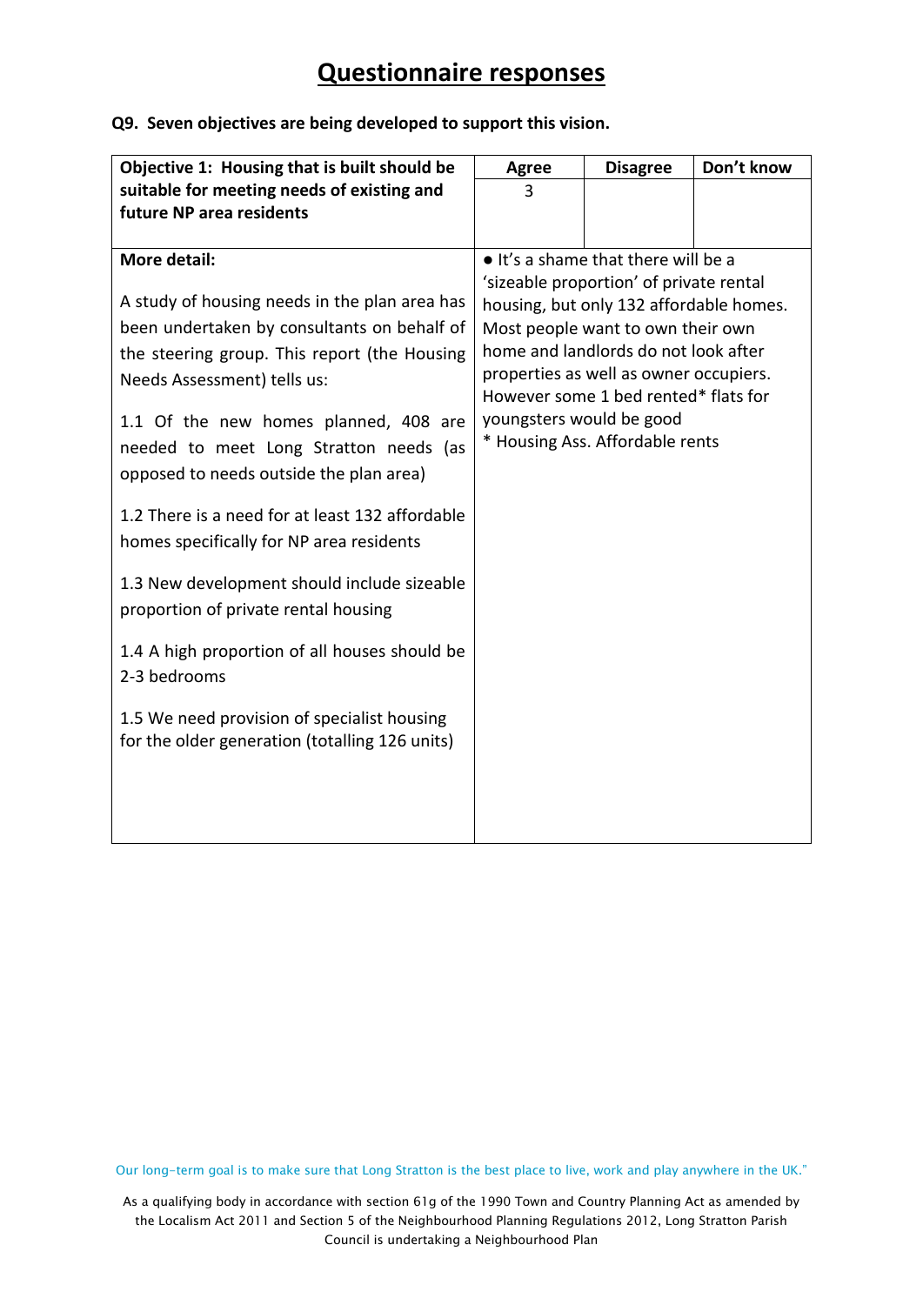#### **Q9. Seven objectives are being developed to support this vision.**

| Objective 1: Housing that is built should be                                                                                                                                                                                                                                                              | <b>Agree</b>             | <b>Disagree</b>                                                                                                                                                                                                                                                                      | Don't know |
|-----------------------------------------------------------------------------------------------------------------------------------------------------------------------------------------------------------------------------------------------------------------------------------------------------------|--------------------------|--------------------------------------------------------------------------------------------------------------------------------------------------------------------------------------------------------------------------------------------------------------------------------------|------------|
| suitable for meeting needs of existing and                                                                                                                                                                                                                                                                | 3                        |                                                                                                                                                                                                                                                                                      |            |
| future NP area residents                                                                                                                                                                                                                                                                                  |                          |                                                                                                                                                                                                                                                                                      |            |
|                                                                                                                                                                                                                                                                                                           |                          |                                                                                                                                                                                                                                                                                      |            |
| More detail:                                                                                                                                                                                                                                                                                              |                          | • It's a shame that there will be a                                                                                                                                                                                                                                                  |            |
| A study of housing needs in the plan area has<br>been undertaken by consultants on behalf of<br>the steering group. This report (the Housing<br>Needs Assessment) tells us:<br>1.1 Of the new homes planned, 408 are<br>needed to meet Long Stratton needs (as<br>opposed to needs outside the plan area) | youngsters would be good | 'sizeable proportion' of private rental<br>housing, but only 132 affordable homes.<br>Most people want to own their own<br>home and landlords do not look after<br>properties as well as owner occupiers.<br>However some 1 bed rented* flats for<br>* Housing Ass. Affordable rents |            |
| 1.2 There is a need for at least 132 affordable<br>homes specifically for NP area residents                                                                                                                                                                                                               |                          |                                                                                                                                                                                                                                                                                      |            |
| 1.3 New development should include sizeable<br>proportion of private rental housing                                                                                                                                                                                                                       |                          |                                                                                                                                                                                                                                                                                      |            |
| 1.4 A high proportion of all houses should be<br>2-3 bedrooms                                                                                                                                                                                                                                             |                          |                                                                                                                                                                                                                                                                                      |            |
| 1.5 We need provision of specialist housing<br>for the older generation (totalling 126 units)                                                                                                                                                                                                             |                          |                                                                                                                                                                                                                                                                                      |            |

Our long-term goal is to make sure that Long Stratton is the best place to live, work and play anywhere in the UK."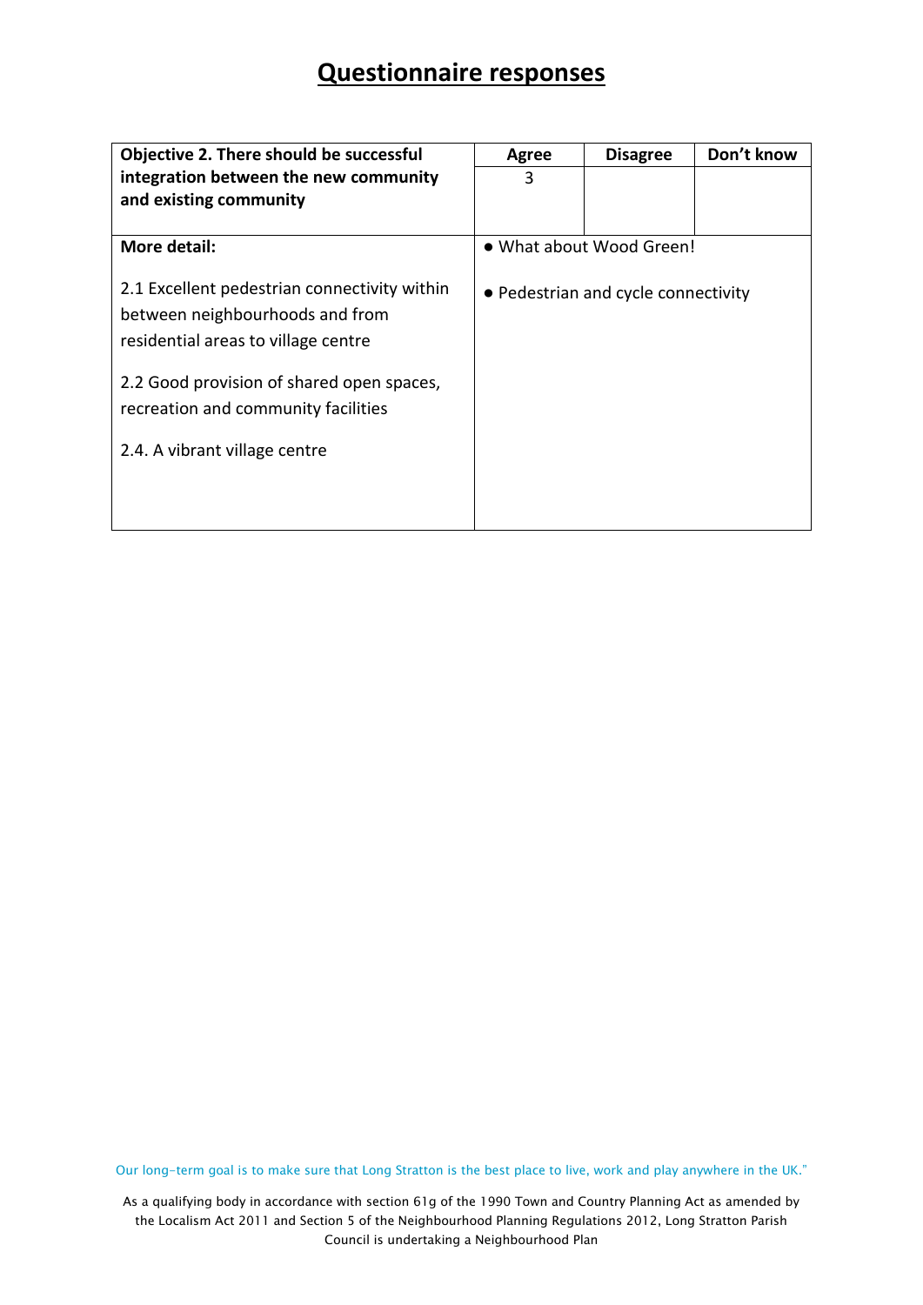| <b>Objective 2. There should be successful</b>                                                                         | Agree | <b>Disagree</b>                     | Don't know |
|------------------------------------------------------------------------------------------------------------------------|-------|-------------------------------------|------------|
| integration between the new community                                                                                  | 3     |                                     |            |
| and existing community                                                                                                 |       |                                     |            |
|                                                                                                                        |       |                                     |            |
| More detail:                                                                                                           |       | . What about Wood Green!            |            |
| 2.1 Excellent pedestrian connectivity within<br>between neighbourhoods and from<br>residential areas to village centre |       | • Pedestrian and cycle connectivity |            |
| 2.2 Good provision of shared open spaces,                                                                              |       |                                     |            |
| recreation and community facilities                                                                                    |       |                                     |            |
| 2.4. A vibrant village centre                                                                                          |       |                                     |            |
|                                                                                                                        |       |                                     |            |

Our long-term goal is to make sure that Long Stratton is the best place to live, work and play anywhere in the UK."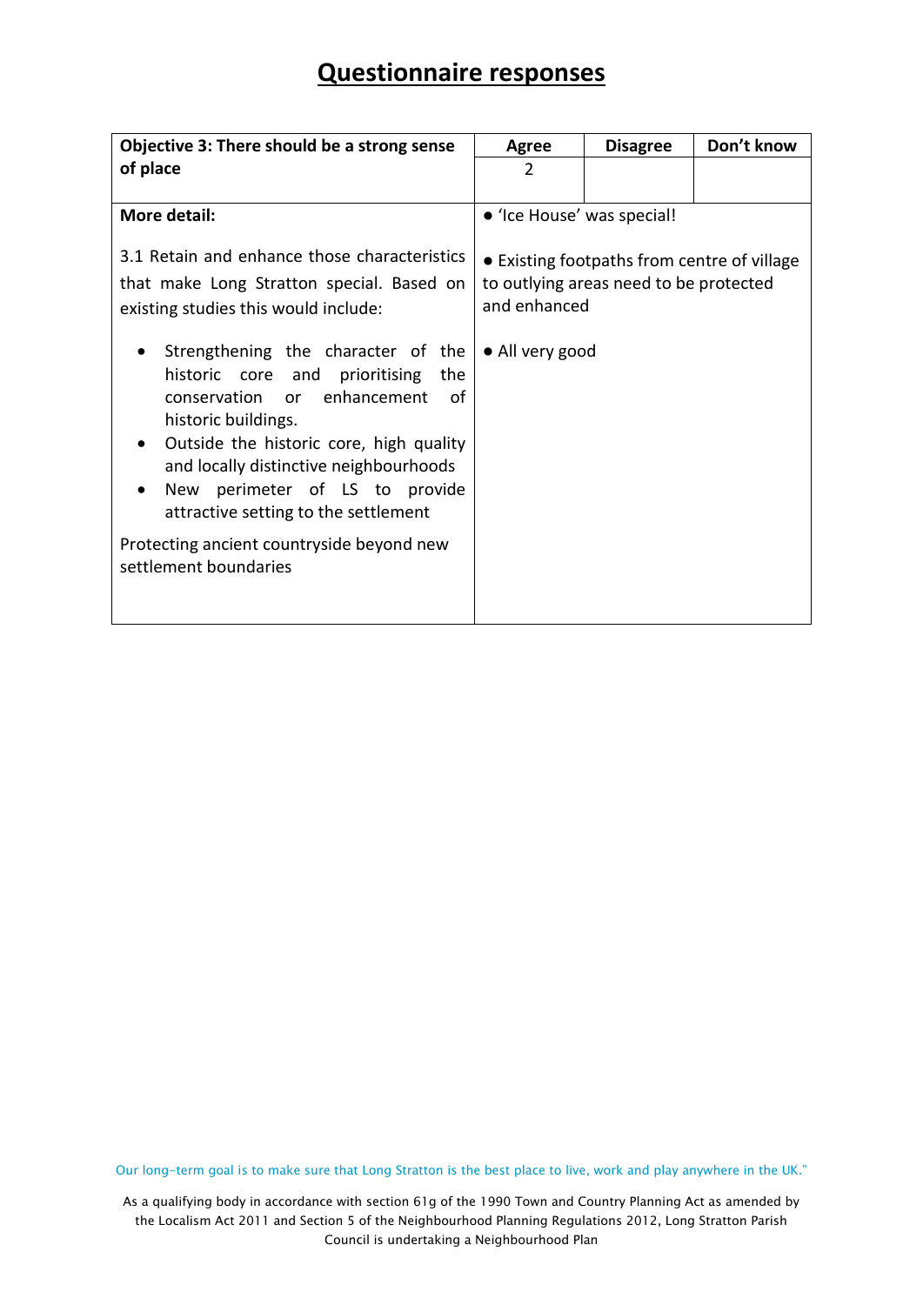| Objective 3: There should be a strong sense                                                                                                                                                                                                                                                                                                                                  | Agree                                       | <b>Disagree</b>                        | Don't know |  |
|------------------------------------------------------------------------------------------------------------------------------------------------------------------------------------------------------------------------------------------------------------------------------------------------------------------------------------------------------------------------------|---------------------------------------------|----------------------------------------|------------|--|
| of place                                                                                                                                                                                                                                                                                                                                                                     | 2                                           |                                        |            |  |
|                                                                                                                                                                                                                                                                                                                                                                              |                                             |                                        |            |  |
| More detail:                                                                                                                                                                                                                                                                                                                                                                 | • 'Ice House' was special!                  |                                        |            |  |
| 3.1 Retain and enhance those characteristics                                                                                                                                                                                                                                                                                                                                 | • Existing footpaths from centre of village |                                        |            |  |
| that make Long Stratton special. Based on                                                                                                                                                                                                                                                                                                                                    |                                             | to outlying areas need to be protected |            |  |
| existing studies this would include:                                                                                                                                                                                                                                                                                                                                         | and enhanced                                |                                        |            |  |
| Strengthening the character of the<br>historic core and prioritising the<br>enhancement<br>conservation or<br>οf<br>historic buildings.<br>Outside the historic core, high quality<br>and locally distinctive neighbourhoods<br>New perimeter of LS to provide<br>attractive setting to the settlement<br>Protecting ancient countryside beyond new<br>settlement boundaries | • All very good                             |                                        |            |  |
|                                                                                                                                                                                                                                                                                                                                                                              |                                             |                                        |            |  |

Our long-term goal is to make sure that Long Stratton is the best place to live, work and play anywhere in the UK."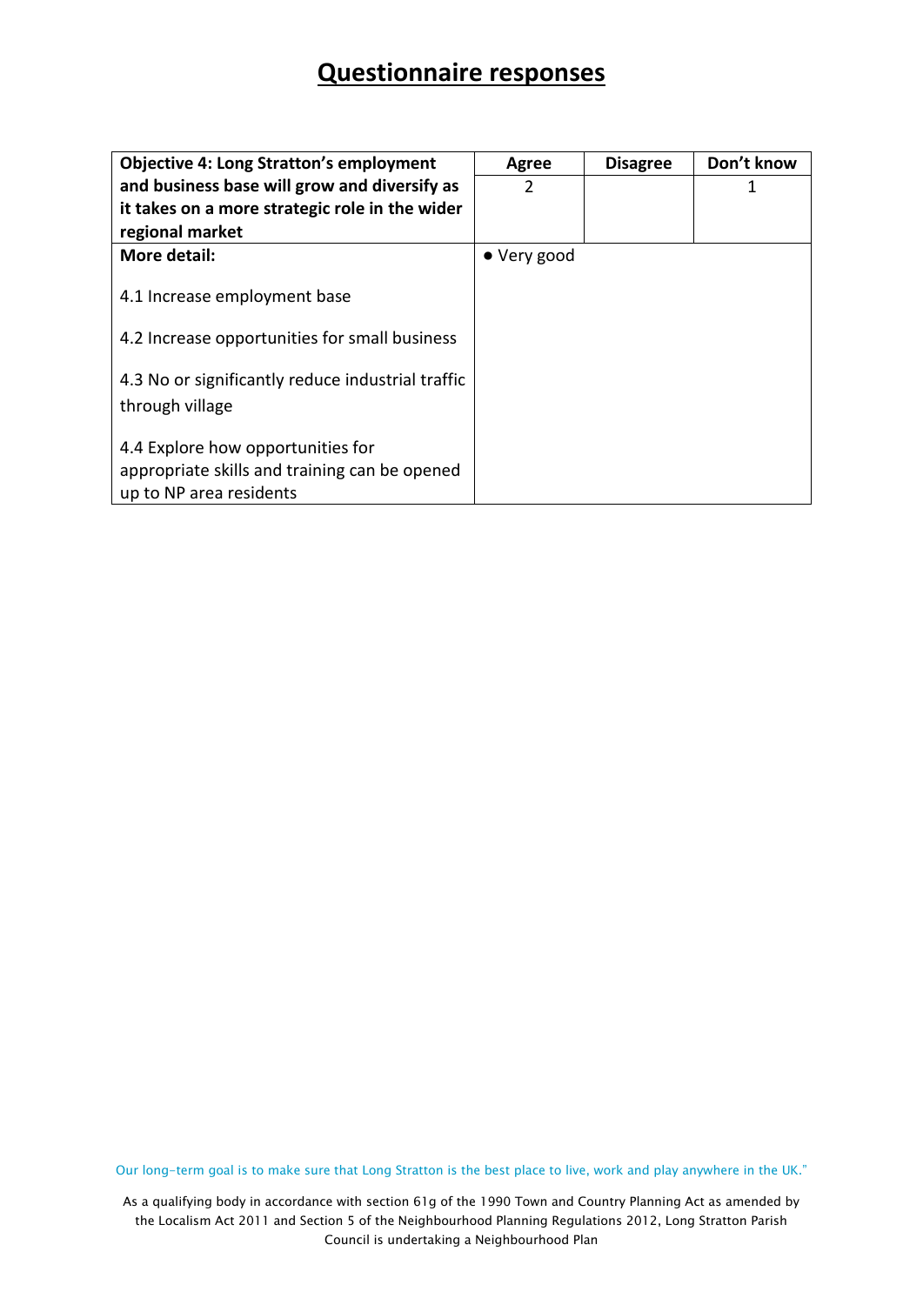| <b>Objective 4: Long Stratton's employment</b>    | <b>Agree</b> | <b>Disagree</b> | Don't know |
|---------------------------------------------------|--------------|-----------------|------------|
| and business base will grow and diversify as      | 2            |                 | 1          |
| it takes on a more strategic role in the wider    |              |                 |            |
| regional market                                   |              |                 |            |
| More detail:                                      | • Very good  |                 |            |
|                                                   |              |                 |            |
| 4.1 Increase employment base                      |              |                 |            |
|                                                   |              |                 |            |
| 4.2 Increase opportunities for small business     |              |                 |            |
| 4.3 No or significantly reduce industrial traffic |              |                 |            |
|                                                   |              |                 |            |
| through village                                   |              |                 |            |
| 4.4 Explore how opportunities for                 |              |                 |            |
| appropriate skills and training can be opened     |              |                 |            |
| up to NP area residents                           |              |                 |            |

Our long-term goal is to make sure that Long Stratton is the best place to live, work and play anywhere in the UK."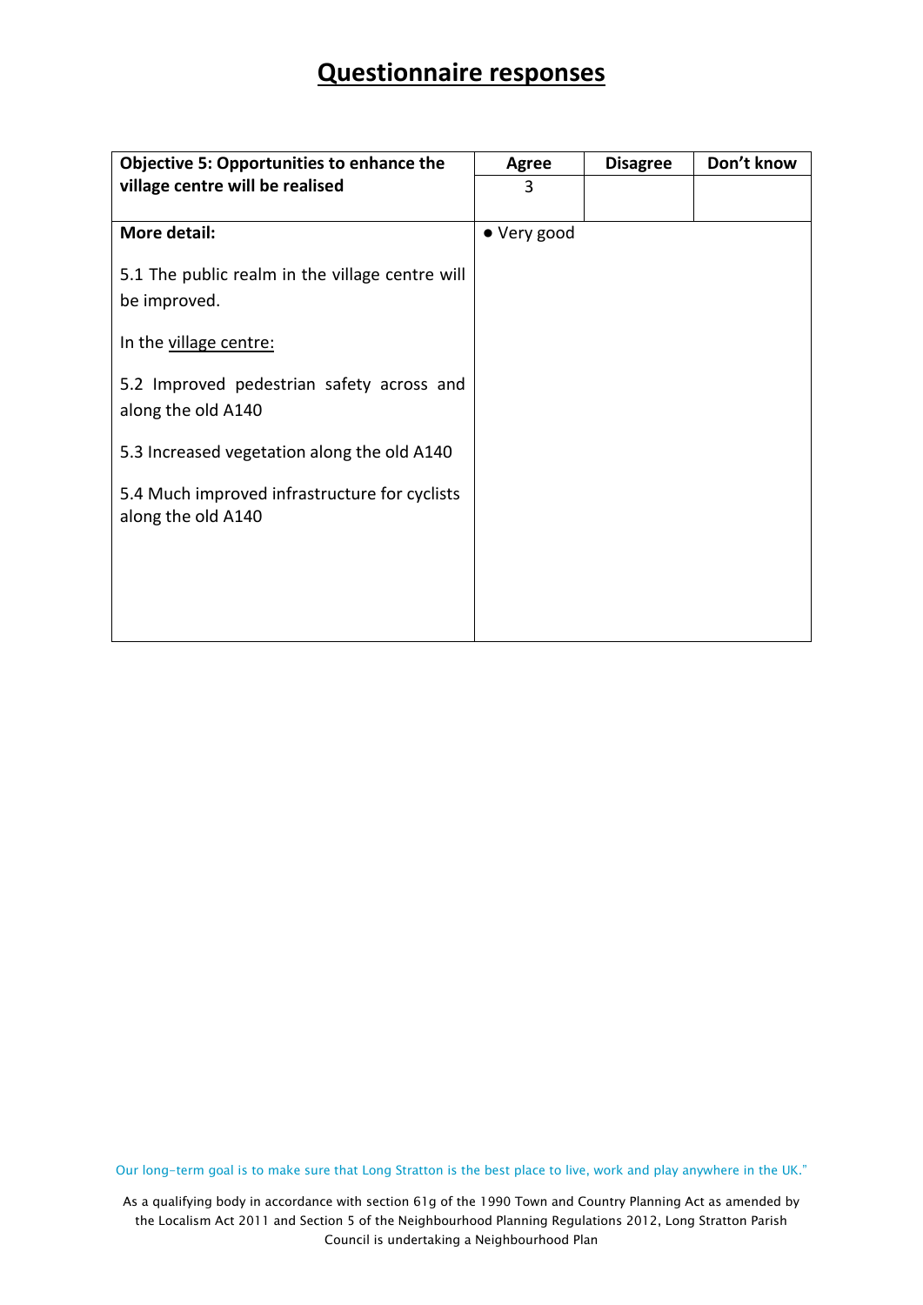| <b>Objective 5: Opportunities to enhance the</b>                    | <b>Agree</b> | <b>Disagree</b> | Don't know |
|---------------------------------------------------------------------|--------------|-----------------|------------|
| village centre will be realised                                     | 3            |                 |            |
|                                                                     |              |                 |            |
| More detail:                                                        | • Very good  |                 |            |
| 5.1 The public realm in the village centre will<br>be improved.     |              |                 |            |
| In the village centre:                                              |              |                 |            |
| 5.2 Improved pedestrian safety across and<br>along the old A140     |              |                 |            |
| 5.3 Increased vegetation along the old A140                         |              |                 |            |
| 5.4 Much improved infrastructure for cyclists<br>along the old A140 |              |                 |            |
|                                                                     |              |                 |            |

Our long-term goal is to make sure that Long Stratton is the best place to live, work and play anywhere in the UK."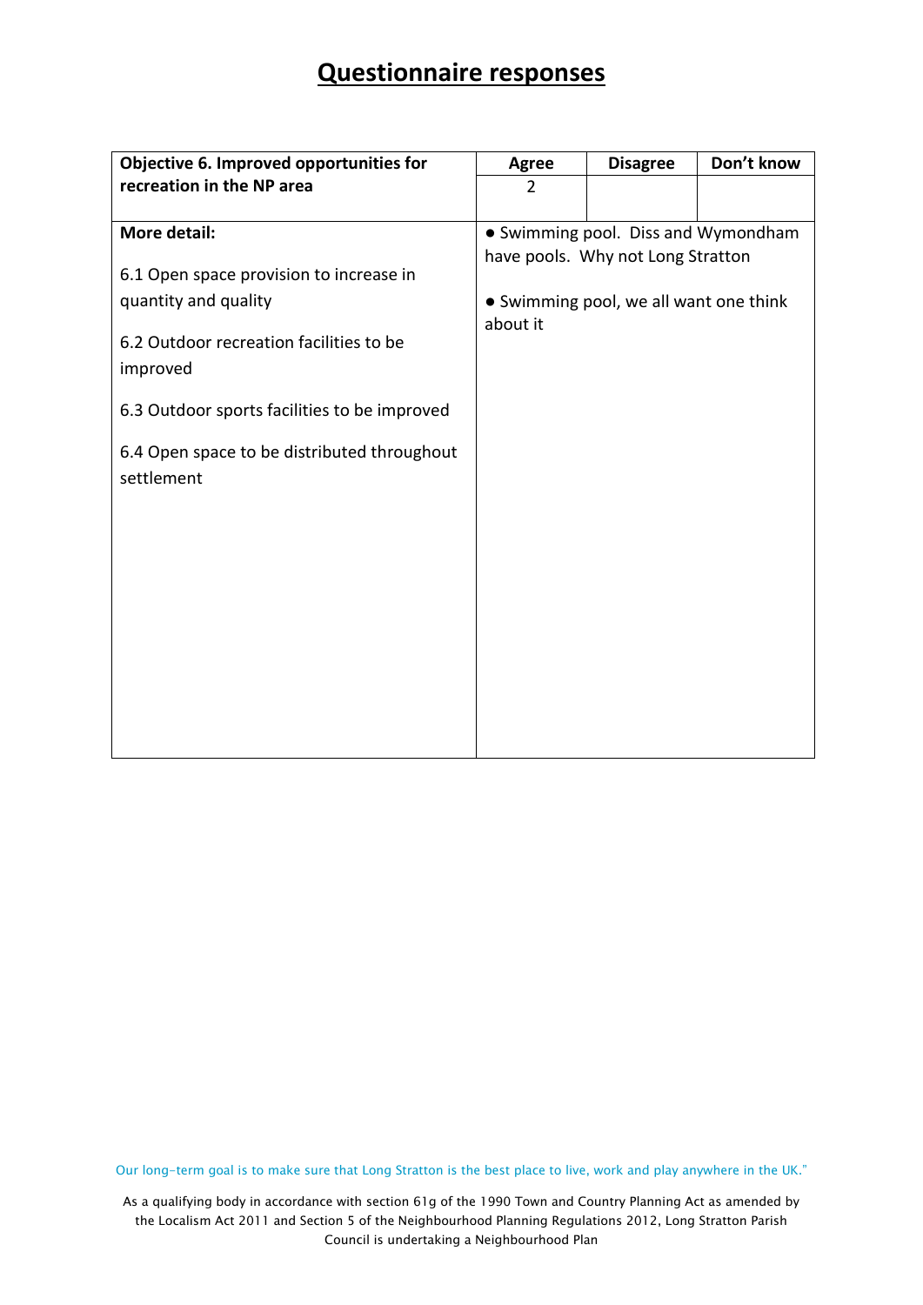| Objective 6. Improved opportunities for      | <b>Agree</b>   | <b>Disagree</b>                        | Don't know |
|----------------------------------------------|----------------|----------------------------------------|------------|
| recreation in the NP area                    | $\overline{2}$ |                                        |            |
|                                              |                |                                        |            |
| <b>More detail:</b>                          |                | • Swimming pool. Diss and Wymondham    |            |
|                                              |                | have pools. Why not Long Stratton      |            |
| 6.1 Open space provision to increase in      |                |                                        |            |
| quantity and quality                         | about it       | • Swimming pool, we all want one think |            |
| 6.2 Outdoor recreation facilities to be      |                |                                        |            |
| improved                                     |                |                                        |            |
|                                              |                |                                        |            |
| 6.3 Outdoor sports facilities to be improved |                |                                        |            |
| 6.4 Open space to be distributed throughout  |                |                                        |            |
| settlement                                   |                |                                        |            |
|                                              |                |                                        |            |
|                                              |                |                                        |            |
|                                              |                |                                        |            |
|                                              |                |                                        |            |
|                                              |                |                                        |            |
|                                              |                |                                        |            |
|                                              |                |                                        |            |
|                                              |                |                                        |            |
|                                              |                |                                        |            |
|                                              |                |                                        |            |
|                                              |                |                                        |            |

Our long-term goal is to make sure that Long Stratton is the best place to live, work and play anywhere in the UK."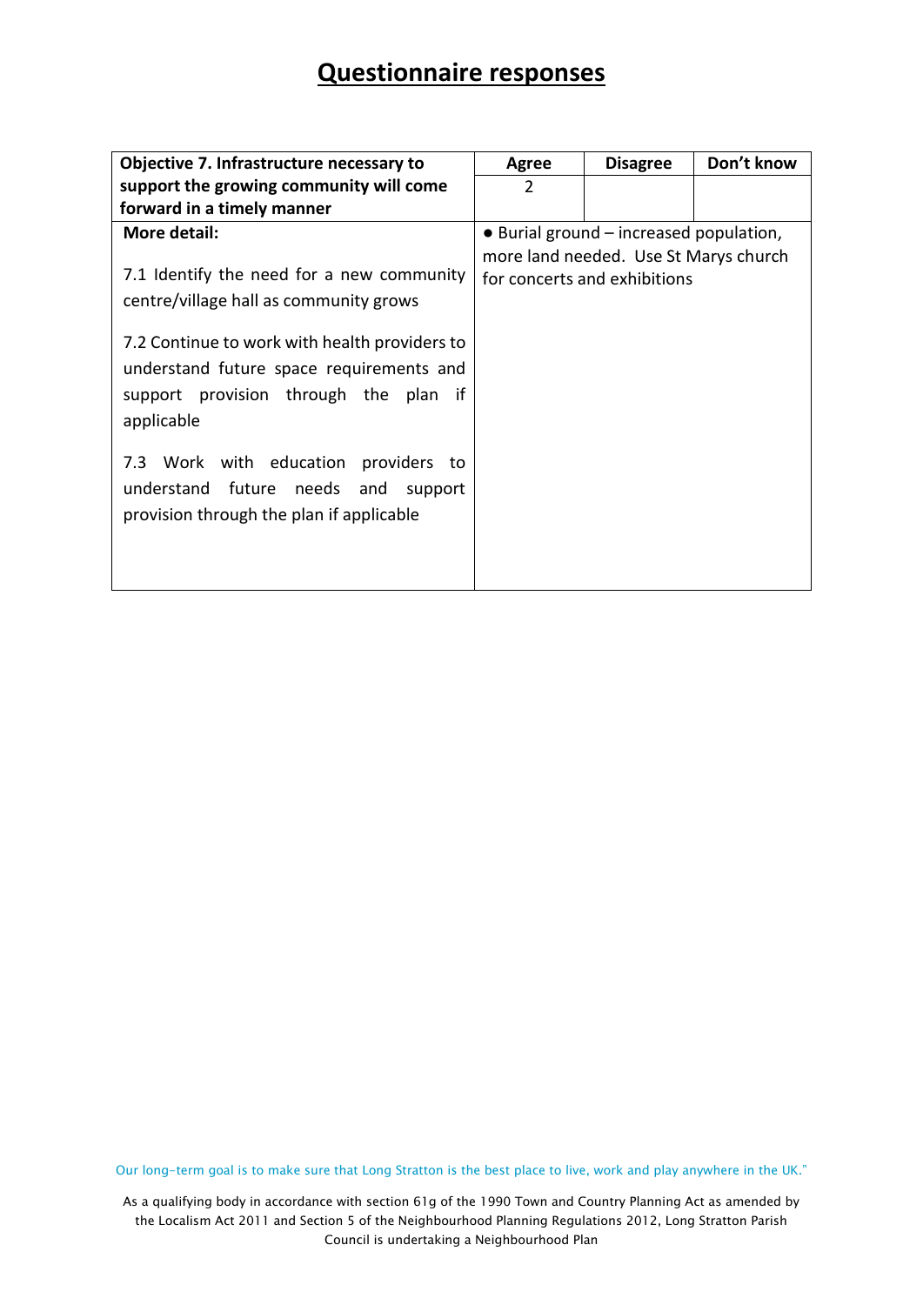| Objective 7. Infrastructure necessary to                                                                                                             | Don't know<br><b>Disagree</b><br><b>Agree</b>                         |                                         |  |
|------------------------------------------------------------------------------------------------------------------------------------------------------|-----------------------------------------------------------------------|-----------------------------------------|--|
| support the growing community will come                                                                                                              | $\overline{2}$                                                        |                                         |  |
| forward in a timely manner                                                                                                                           |                                                                       |                                         |  |
| More detail:                                                                                                                                         |                                                                       | • Burial ground – increased population, |  |
| 7.1 Identify the need for a new community<br>centre/village hall as community grows                                                                  | more land needed. Use St Marys church<br>for concerts and exhibitions |                                         |  |
| 7.2 Continue to work with health providers to<br>understand future space requirements and<br>support provision through the plan<br>if.<br>applicable |                                                                       |                                         |  |
| 7.3 Work with education providers to<br>understand future needs and<br>support<br>provision through the plan if applicable                           |                                                                       |                                         |  |

Our long-term goal is to make sure that Long Stratton is the best place to live, work and play anywhere in the UK."